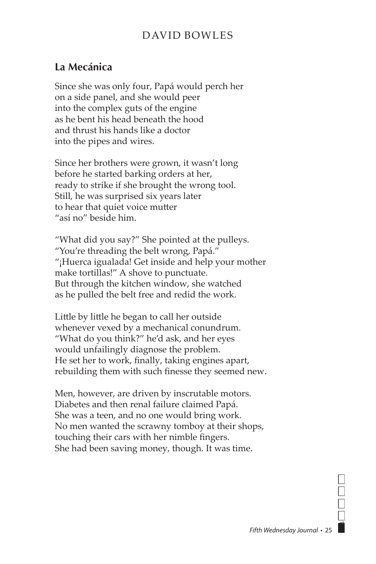## DAVID BOWLES

## **La Mecánica**

Since she was only four, Papá would perch her on a side panel, and she would peer into the complex guts of the engine as he bent his head beneath the hood and thrust his hands like a doctor into the pipes and wires.

Since her brothers were grown, it wasn't long before he started barking orders at her, ready to strike if she brought the wrong tool. Still, he was surprised six years later to hear that quiet voice mutter "así no" beside him.

"What did you say?" She pointed at the pulleys. "You're threading the belt wrong, Papá." "¡Huerca igualada! Get inside and help your mother make tortillas!" A shove to punctuate. But through the kitchen window, she watched as he pulled the belt free and redid the work.

Little by little he began to call her outside whenever vexed by a mechanical conundrum. "What do you think?" he'd ask, and her eyes would unfailingly diagnose the problem. He set her to work, finally, taking engines apart, rebuilding them with such finesse they seemed new.

Men, however, are driven by inscrutable motors. Diabetes and then renal failure claimed Papá. She was a teen, and no one would bring work. No men wanted the scrawny tomboy at their shops, touching their cars with her nimble fingers. She had been saving money, though. It was time.